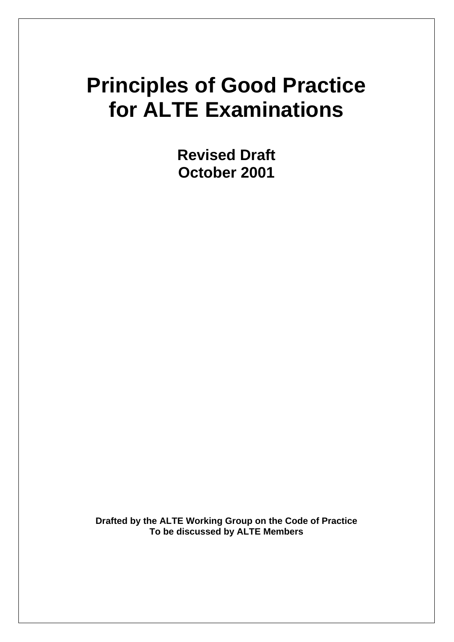# **Principles of Good Practice for ALTE Examinations**

**Revised Draft October 2001** 

**Drafted by the ALTE Working Group on the Code of Practice To be discussed by ALTE Members**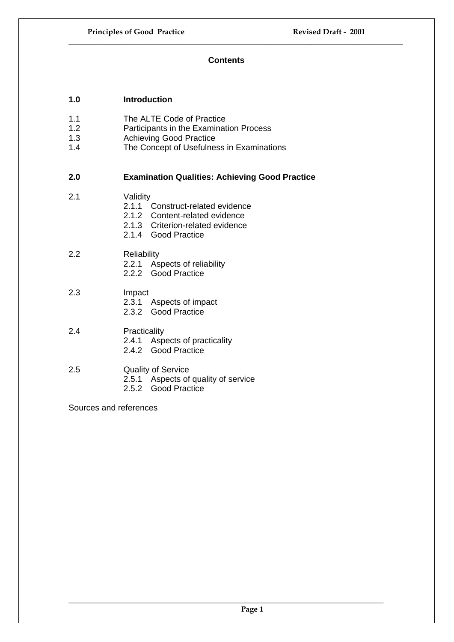#### **Contents**

**\_\_\_\_\_\_\_\_\_\_\_\_\_\_\_\_\_\_\_\_\_\_\_\_\_\_\_\_\_\_\_\_\_\_\_\_\_\_\_\_\_\_\_\_\_\_\_\_\_\_\_\_\_\_\_\_\_\_\_\_\_\_\_\_\_\_\_\_\_\_\_\_\_\_\_\_\_\_\_\_\_\_\_\_\_\_\_** 

#### **1.0 Introduction**

- 1.1 The ALTE Code of Practice
- 1.2 Participants in the Examination Process
- 1.3 Achieving Good Practice
- 1.4 The Concept of Usefulness in Examinations

# **2.0 Examination Qualities: Achieving Good Practice**

- 2.1 Validity
	- 2.1.1 Construct-related evidence
	- 2.1.2 Content-related evidence
	- 2.1.3 Criterion-related evidence
	- 2.1.4 Good Practice

# 2.2 Reliability

- 2.2.1 Aspects of reliability
- 2.2.2 Good Practice

# 2.3 Impact

- 2.3.1 Aspects of impact
- 2.3.2 Good Practice

#### 2.4 Practicality 2.4.1 Aspects of practicality 2.4.2 Good Practice

# 2.5 Quality of Service

- 2.5.1 Aspects of quality of service
- 2.5.2 Good Practice

Sources and references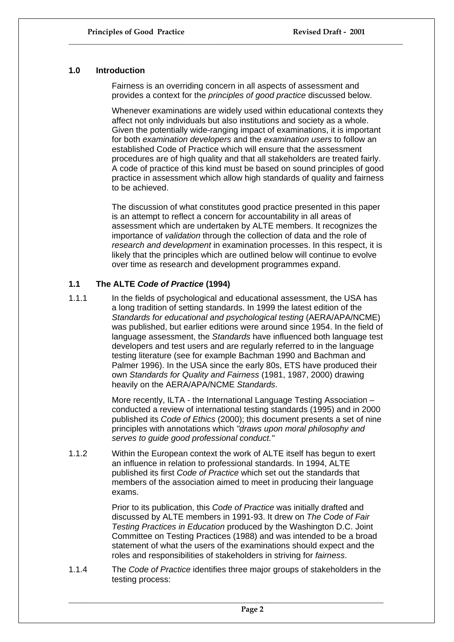#### **1.0 Introduction**

Fairness is an overriding concern in all aspects of assessment and provides a context for the *principles of good practice* discussed below.

**\_\_\_\_\_\_\_\_\_\_\_\_\_\_\_\_\_\_\_\_\_\_\_\_\_\_\_\_\_\_\_\_\_\_\_\_\_\_\_\_\_\_\_\_\_\_\_\_\_\_\_\_\_\_\_\_\_\_\_\_\_\_\_\_\_\_\_\_\_\_\_\_\_\_\_\_\_\_\_\_\_\_\_\_\_\_\_** 

Whenever examinations are widely used within educational contexts they affect not only individuals but also institutions and society as a whole. Given the potentially wide-ranging impact of examinations, it is important for both *examination developers* and the *examination users* to follow an established Code of Practice which will ensure that the assessment procedures are of high quality and that all stakeholders are treated fairly. A code of practice of this kind must be based on sound principles of good practice in assessment which allow high standards of quality and fairness to be achieved.

The discussion of what constitutes good practice presented in this paper is an attempt to reflect a concern for accountability in all areas of assessment which are undertaken by ALTE members. It recognizes the importance of *validation* through the collection of data and the role of *research and development* in examination processes. In this respect, it is likely that the principles which are outlined below will continue to evolve over time as research and development programmes expand.

# **1.1 The ALTE** *Code of Practice* **(1994)**

1.1.1 In the fields of psychological and educational assessment, the USA has a long tradition of setting standards. In 1999 the latest edition of the *Standards for educational and psychological testing* (AERA/APA/NCME) was published, but earlier editions were around since 1954. In the field of language assessment, the *Standards* have influenced both language test developers and test users and are regularly referred to in the language testing literature (see for example Bachman 1990 and Bachman and Palmer 1996). In the USA since the early 80s, ETS have produced their own *Standards for Quality and Fairness* (1981, 1987, 2000) drawing heavily on the AERA/APA/NCME *Standards*.

> More recently, ILTA - the International Language Testing Association – conducted a review of international testing standards (1995) and in 2000 published its *Code of Ethics* (2000); this document presents a set of nine principles with annotations which *"draws upon moral philosophy and serves to guide good professional conduct."*

1.1.2 Within the European context the work of ALTE itself has begun to exert an influence in relation to professional standards. In 1994, ALTE published its first *Code of Practice* which set out the standards that members of the association aimed to meet in producing their language exams.

> Prior to its publication, this *Code of Practice* was initially drafted and discussed by ALTE members in 1991-93. It drew on *The Code of Fair Testing Practices in Education* produced by the Washington D.C. Joint Committee on Testing Practices (1988) and was intended to be a broad statement of what the users of the examinations should expect and the roles and responsibilities of stakeholders in striving for *fairness*.

1.1.4 The *Code of Practice* identifies three major groups of stakeholders in the testing process: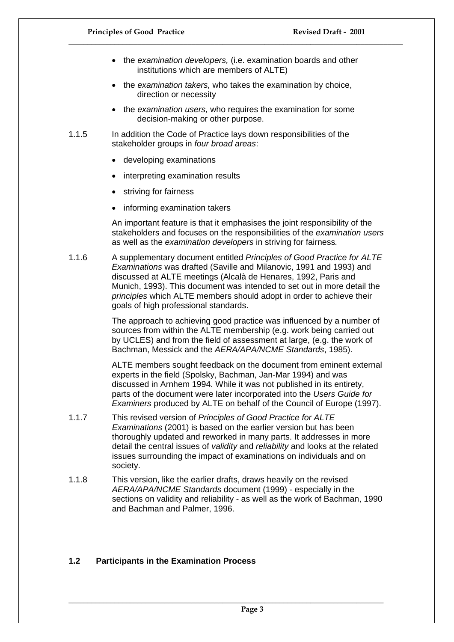• the *examination developers,* (i.e. examination boards and other institutions which are members of ALTE)

**\_\_\_\_\_\_\_\_\_\_\_\_\_\_\_\_\_\_\_\_\_\_\_\_\_\_\_\_\_\_\_\_\_\_\_\_\_\_\_\_\_\_\_\_\_\_\_\_\_\_\_\_\_\_\_\_\_\_\_\_\_\_\_\_\_\_\_\_\_\_\_\_\_\_\_\_\_\_\_\_\_\_\_\_\_\_\_** 

- the *examination takers,* who takes the examination by choice, direction or necessity
- the *examination users,* who requires the examination for some decision-making or other purpose.
- 1.1.5 In addition the Code of Practice lays down responsibilities of the stakeholder groups in *four broad areas*:
	- developing examinations
	- interpreting examination results
	- striving for fairness
	- informing examination takers

An important feature is that it emphasises the joint responsibility of the stakeholders and focuses on the responsibilities of the *examination users* as well as the *examination developers* in striving for fairness*.* 

1.1.6 A supplementary document entitled *Principles of Good Practice for ALTE Examinations* was drafted (Saville and Milanovic, 1991 and 1993) and discussed at ALTE meetings (Alcalà de Henares, 1992, Paris and Munich, 1993). This document was intended to set out in more detail the *principles* which ALTE members should adopt in order to achieve their goals of high professional standards.

> The approach to achieving good practice was influenced by a number of sources from within the ALTE membership (e.g. work being carried out by UCLES) and from the field of assessment at large, (e.g. the work of Bachman, Messick and the *AERA/APA/NCME Standards*, 1985).

ALTE members sought feedback on the document from eminent external experts in the field (Spolsky, Bachman, Jan-Mar 1994) and was discussed in Arnhem 1994. While it was not published in its entirety, parts of the document were later incorporated into the *Users Guide for Examiners* produced by ALTE on behalf of the Council of Europe (1997).

- 1.1.7 This revised version of *Principles of Good Practice for ALTE Examinations* (2001) is based on the earlier version but has been thoroughly updated and reworked in many parts. It addresses in more detail the central issues of *validity* and *reliability* and looks at the related issues surrounding the impact of examinations on individuals and on society.
- 1.1.8 This version, like the earlier drafts, draws heavily on the revised *AERA/APA/NCME Standards* document (1999) - especially in the sections on validity and reliability - as well as the work of Bachman, 1990 and Bachman and Palmer, 1996.

**\_\_\_\_\_\_\_\_\_\_\_\_\_\_\_\_\_\_\_\_\_\_\_\_\_\_\_\_\_\_\_\_\_\_\_\_\_\_\_\_\_\_\_\_\_\_\_\_\_\_\_\_\_\_\_\_\_\_\_\_\_\_\_\_\_\_\_\_\_\_\_\_\_\_\_\_\_\_\_\_\_\_** 

# **1.2 Participants in the Examination Process**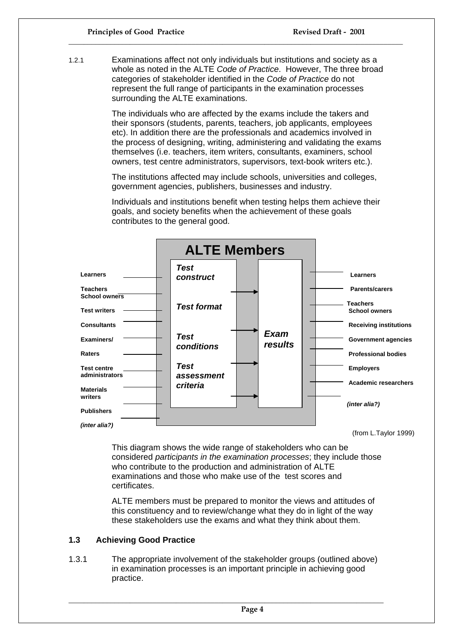1.2.1 Examinations affect not only individuals but institutions and society as a whole as noted in the ALTE *Code of Practice*. However, The three broad categories of stakeholder identified in the *Code of Practice* do not represent the full range of participants in the examination processes surrounding the ALTE examinations.

**\_\_\_\_\_\_\_\_\_\_\_\_\_\_\_\_\_\_\_\_\_\_\_\_\_\_\_\_\_\_\_\_\_\_\_\_\_\_\_\_\_\_\_\_\_\_\_\_\_\_\_\_\_\_\_\_\_\_\_\_\_\_\_\_\_\_\_\_\_\_\_\_\_\_\_\_\_\_\_\_\_\_\_\_\_\_\_** 

 The individuals who are affected by the exams include the takers and their sponsors (students, parents, teachers, job applicants, employees etc). In addition there are the professionals and academics involved in the process of designing, writing, administering and validating the exams themselves (i.e. teachers, item writers, consultants, examiners, school owners, test centre administrators, supervisors, text-book writers etc.).

 The institutions affected may include schools, universities and colleges, government agencies, publishers, businesses and industry.

 Individuals and institutions benefit when testing helps them achieve their goals, and society benefits when the achievement of these goals contributes to the general good.



(from L.Taylor 1999)

This diagram shows the wide range of stakeholders who can be considered *participants in the examination processes*; they include those who contribute to the production and administration of ALTE examinations and those who make use of the test scores and certificates.

ALTE members must be prepared to monitor the views and attitudes of this constituency and to review/change what they do in light of the way these stakeholders use the exams and what they think about them.

#### **1.3 Achieving Good Practice**

1.3.1 The appropriate involvement of the stakeholder groups (outlined above) in examination processes is an important principle in achieving good practice.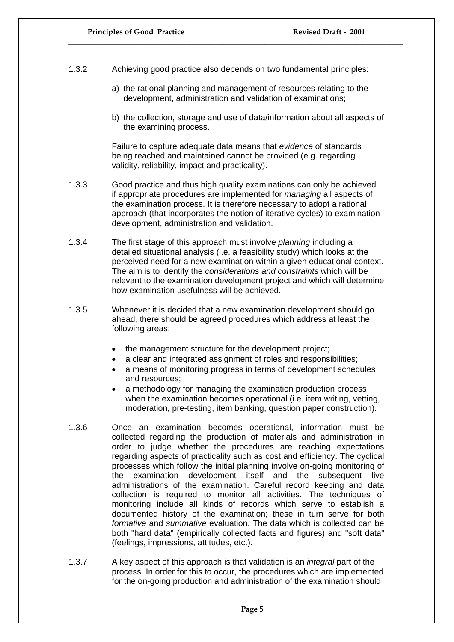- 1.3.2 Achieving good practice also depends on two fundamental principles:
	- a) the rational planning and management of resources relating to the development, administration and validation of examinations;

**\_\_\_\_\_\_\_\_\_\_\_\_\_\_\_\_\_\_\_\_\_\_\_\_\_\_\_\_\_\_\_\_\_\_\_\_\_\_\_\_\_\_\_\_\_\_\_\_\_\_\_\_\_\_\_\_\_\_\_\_\_\_\_\_\_\_\_\_\_\_\_\_\_\_\_\_\_\_\_\_\_\_\_\_\_\_\_** 

b) the collection, storage and use of data/information about all aspects of the examining process.

Failure to capture adequate data means that *evidence* of standards being reached and maintained cannot be provided (e.g. regarding validity, reliability, impact and practicality).

- 1.3.3 Good practice and thus high quality examinations can only be achieved if appropriate procedures are implemented for *managing* all aspects of the examination process. It is therefore necessary to adopt a rational approach (that incorporates the notion of iterative cycles) to examination development, administration and validation.
- 1.3.4 The first stage of this approach must involve *planning* including a detailed situational analysis (i.e. a feasibility study) which looks at the perceived need for a new examination within a given educational context. The aim is to identify the *considerations and constraints* which will be relevant to the examination development project and which will determine how examination usefulness will be achieved.
- 1.3.5 Whenever it is decided that a new examination development should go ahead, there should be agreed procedures which address at least the following areas:
	- the management structure for the development project;
	- a clear and integrated assignment of roles and responsibilities;
	- a means of monitoring progress in terms of development schedules and resources;
	- a methodology for managing the examination production process when the examination becomes operational (i.e. item writing, vetting, moderation, pre-testing, item banking, question paper construction).
- 1.3.6 Once an examination becomes operational, information must be collected regarding the production of materials and administration in order to judge whether the procedures are reaching expectations regarding aspects of practicality such as cost and efficiency. The cyclical processes which follow the initial planning involve on-going monitoring of the examination development itself and the subsequent live administrations of the examination. Careful record keeping and data collection is required to monitor all activities. The techniques of monitoring include all kinds of records which serve to establish a documented history of the examination; these in turn serve for both *formative* and *summative* evaluation. The data which is collected can be both "hard data" (empirically collected facts and figures) and "soft data" (feelings, impressions, attitudes, etc.).
- 1.3.7 A key aspect of this approach is that validation is an *integral* part of the process. In order for this to occur, the procedures which are implemented for the on-going production and administration of the examination should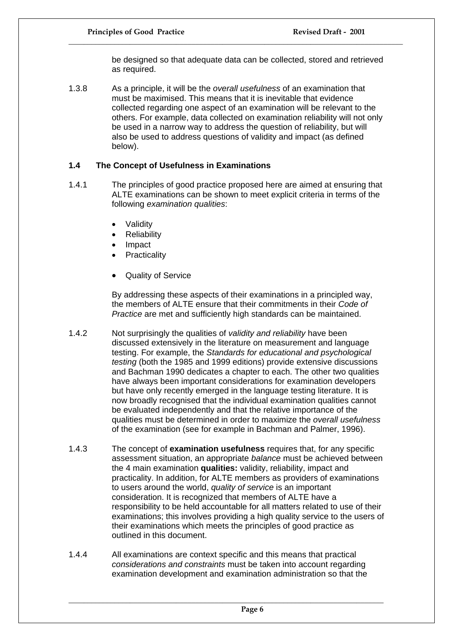be designed so that adequate data can be collected, stored and retrieved as required.

**\_\_\_\_\_\_\_\_\_\_\_\_\_\_\_\_\_\_\_\_\_\_\_\_\_\_\_\_\_\_\_\_\_\_\_\_\_\_\_\_\_\_\_\_\_\_\_\_\_\_\_\_\_\_\_\_\_\_\_\_\_\_\_\_\_\_\_\_\_\_\_\_\_\_\_\_\_\_\_\_\_\_\_\_\_\_\_** 

1.3.8 As a principle, it will be the *overall usefulness* of an examination that must be maximised. This means that it is inevitable that evidence collected regarding one aspect of an examination will be relevant to the others. For example, data collected on examination reliability will not only be used in a narrow way to address the question of reliability, but will also be used to address questions of validity and impact (as defined below).

# **1.4 The Concept of Usefulness in Examinations**

- 1.4.1 The principles of good practice proposed here are aimed at ensuring that ALTE examinations can be shown to meet explicit criteria in terms of the following *examination qualities*:
	- **Validity**
	- **Reliability**
	- Impact
	- **Practicality**
	- Quality of Service

By addressing these aspects of their examinations in a principled way, the members of ALTE ensure that their commitments in their *Code of Practice* are met and sufficiently high standards can be maintained.

- 1.4.2 Not surprisingly the qualities of *validity and reliability* have been discussed extensively in the literature on measurement and language testing. For example, the *Standards for educational and psychological testing* (both the 1985 and 1999 editions) provide extensive discussions and Bachman 1990 dedicates a chapter to each. The other two qualities have always been important considerations for examination developers but have only recently emerged in the language testing literature. It is now broadly recognised that the individual examination qualities cannot be evaluated independently and that the relative importance of the qualities must be determined in order to maximize the *overall usefulness*  of the examination (see for example in Bachman and Palmer, 1996).
- 1.4.3 The concept of **examination usefulness** requires that, for any specific assessment situation, an appropriate *balance* must be achieved between the 4 main examination **qualities:** validity, reliability, impact and practicality. In addition, for ALTE members as providers of examinations to users around the world, *quality of service* is an important consideration. It is recognized that members of ALTE have a responsibility to be held accountable for all matters related to use of their examinations; this involves providing a high quality service to the users of their examinations which meets the principles of good practice as outlined in this document.
- 1.4.4 All examinations are context specific and this means that practical *considerations and constraints* must be taken into account regarding examination development and examination administration so that the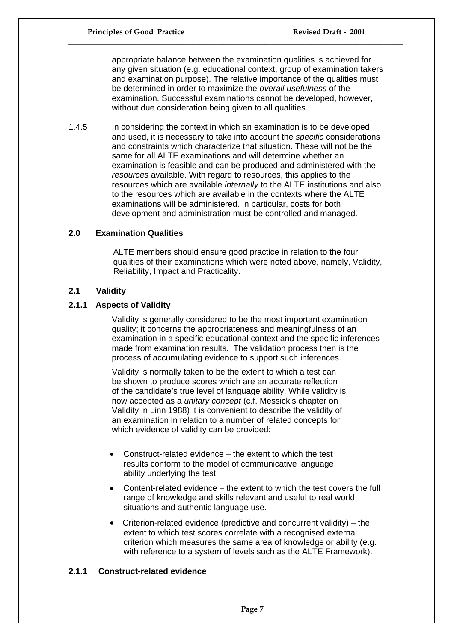appropriate balance between the examination qualities is achieved for any given situation (e.g. educational context, group of examination takers and examination purpose). The relative importance of the qualities must be determined in order to maximize the *overall usefulness* of the examination. Successful examinations cannot be developed, however, without due consideration being given to all qualities.

**\_\_\_\_\_\_\_\_\_\_\_\_\_\_\_\_\_\_\_\_\_\_\_\_\_\_\_\_\_\_\_\_\_\_\_\_\_\_\_\_\_\_\_\_\_\_\_\_\_\_\_\_\_\_\_\_\_\_\_\_\_\_\_\_\_\_\_\_\_\_\_\_\_\_\_\_\_\_\_\_\_\_\_\_\_\_\_** 

1.4.5 In considering the context in which an examination is to be developed and used, it is necessary to take into account the *specific* considerations and constraints which characterize that situation. These will not be the same for all ALTE examinations and will determine whether an examination is feasible and can be produced and administered with the *resources* available. With regard to resources, this applies to the resources which are available *internally* to the ALTE institutions and also to the resources which are available in the contexts where the ALTE examinations will be administered. In particular, costs for both development and administration must be controlled and managed.

# **2.0 Examination Qualities**

ALTE members should ensure good practice in relation to the four qualities of their examinations which were noted above, namely, Validity, Reliability, Impact and Practicality.

# **2.1 Validity**

# **2.1.1 Aspects of Validity**

 Validity is generally considered to be the most important examination quality; it concerns the appropriateness and meaningfulness of an examination in a specific educational context and the specific inferences made from examination results. The validation process then is the process of accumulating evidence to support such inferences.

Validity is normally taken to be the extent to which a test can be shown to produce scores which are an accurate reflection of the candidate's true level of language ability. While validity is now accepted as a *unitary concept* (c.f. Messick's chapter on Validity in Linn 1988) it is convenient to describe the validity of an examination in relation to a number of related concepts for which evidence of validity can be provided:

- Construct-related evidence the extent to which the test results conform to the model of communicative language ability underlying the test
- Content-related evidence the extent to which the test covers the full range of knowledge and skills relevant and useful to real world situations and authentic language use.
- Criterion-related evidence (predictive and concurrent validity) the extent to which test scores correlate with a recognised external criterion which measures the same area of knowledge or ability (e.g. with reference to a system of levels such as the ALTE Framework).

# **2.1.1 Construct-related evidence**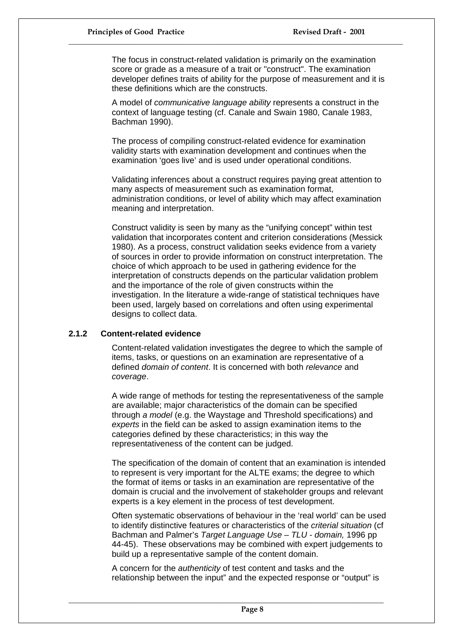The focus in construct-related validation is primarily on the examination score or grade as a measure of a trait or "construct". The examination developer defines traits of ability for the purpose of measurement and it is these definitions which are the constructs.

**\_\_\_\_\_\_\_\_\_\_\_\_\_\_\_\_\_\_\_\_\_\_\_\_\_\_\_\_\_\_\_\_\_\_\_\_\_\_\_\_\_\_\_\_\_\_\_\_\_\_\_\_\_\_\_\_\_\_\_\_\_\_\_\_\_\_\_\_\_\_\_\_\_\_\_\_\_\_\_\_\_\_\_\_\_\_\_** 

A model of *communicative language ability* represents a construct in the context of language testing (cf. Canale and Swain 1980, Canale 1983, Bachman 1990).

The process of compiling construct-related evidence for examination validity starts with examination development and continues when the examination 'goes live' and is used under operational conditions.

Validating inferences about a construct requires paying great attention to many aspects of measurement such as examination format, administration conditions, or level of ability which may affect examination meaning and interpretation.

Construct validity is seen by many as the "unifying concept" within test validation that incorporates content and criterion considerations (Messick 1980). As a process, construct validation seeks evidence from a variety of sources in order to provide information on construct interpretation. The choice of which approach to be used in gathering evidence for the interpretation of constructs depends on the particular validation problem and the importance of the role of given constructs within the investigation. In the literature a wide-range of statistical techniques have been used, largely based on correlations and often using experimental designs to collect data.

#### **2.1.2 Content-related evidence**

Content-related validation investigates the degree to which the sample of items, tasks, or questions on an examination are representative of a defined *domain of content*. It is concerned with both *relevance* and *coverage*.

A wide range of methods for testing the representativeness of the sample are available; major characteristics of the domain can be specified through *a model* (e.g. the Waystage and Threshold specifications) and *experts* in the field can be asked to assign examination items to the categories defined by these characteristics; in this way the representativeness of the content can be judged.

The specification of the domain of content that an examination is intended to represent is very important for the ALTE exams; the degree to which the format of items or tasks in an examination are representative of the domain is crucial and the involvement of stakeholder groups and relevant experts is a key element in the process of test development.

Often systematic observations of behaviour in the 'real world' can be used to identify distinctive features or characteristics of the *criterial situation* (cf Bachman and Palmer's *Target Language Use – TLU - domain,* 1996 pp 44-45). These observations may be combined with expert judgements to build up a representative sample of the content domain.

A concern for the *authenticity* of test content and tasks and the relationship between the input" and the expected response or "output" is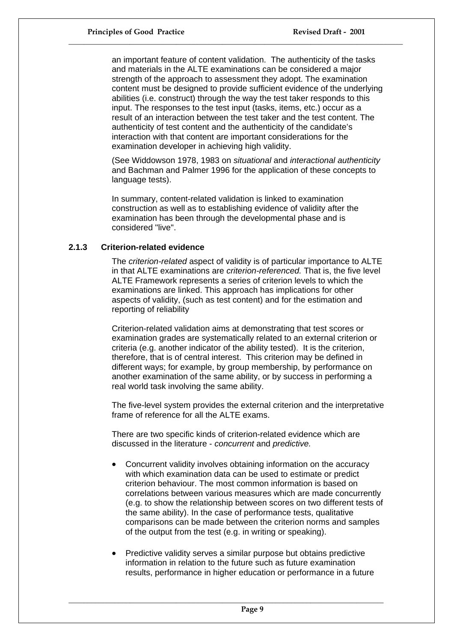an important feature of content validation. The authenticity of the tasks and materials in the ALTE examinations can be considered a major strength of the approach to assessment they adopt. The examination content must be designed to provide sufficient evidence of the underlying abilities (i.e. construct) through the way the test taker responds to this input. The responses to the test input (tasks, items, etc.) occur as a result of an interaction between the test taker and the test content. The authenticity of test content and the authenticity of the candidate's interaction with that content are important considerations for the examination developer in achieving high validity.

**\_\_\_\_\_\_\_\_\_\_\_\_\_\_\_\_\_\_\_\_\_\_\_\_\_\_\_\_\_\_\_\_\_\_\_\_\_\_\_\_\_\_\_\_\_\_\_\_\_\_\_\_\_\_\_\_\_\_\_\_\_\_\_\_\_\_\_\_\_\_\_\_\_\_\_\_\_\_\_\_\_\_\_\_\_\_\_** 

(See Widdowson 1978, 1983 on *situational* and *interactional authenticity*  and Bachman and Palmer 1996 for the application of these concepts to language tests).

In summary, content-related validation is linked to examination construction as well as to establishing evidence of validity after the examination has been through the developmental phase and is considered "live".

#### **2.1.3 Criterion-related evidence**

The *criterion-related* aspect of validity is of particular importance to ALTE in that ALTE examinations are *criterion-referenced.* That is, the five level ALTE Framework represents a series of criterion levels to which the examinations are linked. This approach has implications for other aspects of validity, (such as test content) and for the estimation and reporting of reliability

Criterion-related validation aims at demonstrating that test scores or examination grades are systematically related to an external criterion or criteria (e.g. another indicator of the ability tested). It is the criterion, therefore, that is of central interest. This criterion may be defined in different ways; for example, by group membership, by performance on another examination of the same ability, or by success in performing a real world task involving the same ability.

The five-level system provides the external criterion and the interpretative frame of reference for all the ALTE exams.

There are two specific kinds of criterion-related evidence which are discussed in the literature - *concurrent* and *predictive.*

- Concurrent validity involves obtaining information on the accuracy with which examination data can be used to estimate or predict criterion behaviour. The most common information is based on correlations between various measures which are made concurrently (e.g. to show the relationship between scores on two different tests of the same ability). In the case of performance tests, qualitative comparisons can be made between the criterion norms and samples of the output from the test (e.g. in writing or speaking).
- Predictive validity serves a similar purpose but obtains predictive information in relation to the future such as future examination results, performance in higher education or performance in a future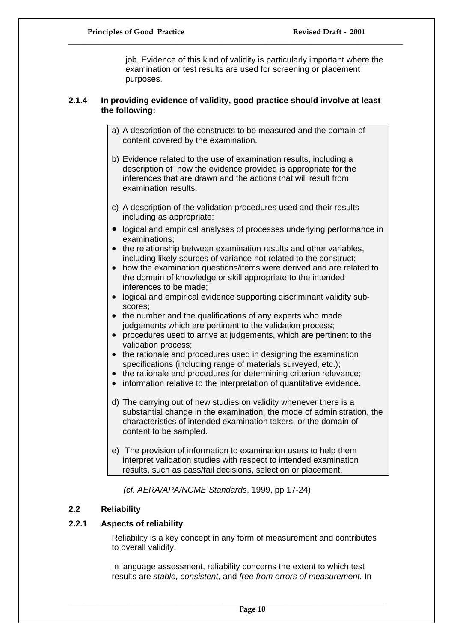job. Evidence of this kind of validity is particularly important where the examination or test results are used for screening or placement purposes.

#### **2.1.4 In providing evidence of validity, good practice should involve at least the following:**

a) A description of the constructs to be measured and the domain of content covered by the examination.

**\_\_\_\_\_\_\_\_\_\_\_\_\_\_\_\_\_\_\_\_\_\_\_\_\_\_\_\_\_\_\_\_\_\_\_\_\_\_\_\_\_\_\_\_\_\_\_\_\_\_\_\_\_\_\_\_\_\_\_\_\_\_\_\_\_\_\_\_\_\_\_\_\_\_\_\_\_\_\_\_\_\_\_\_\_\_\_** 

- b) Evidence related to the use of examination results, including a description of how the evidence provided is appropriate for the inferences that are drawn and the actions that will result from examination results.
- c) A description of the validation procedures used and their results including as appropriate:
- logical and empirical analyses of processes underlying performance in examinations;
- the relationship between examination results and other variables, including likely sources of variance not related to the construct;
- how the examination questions/items were derived and are related to the domain of knowledge or skill appropriate to the intended inferences to be made;
- logical and empirical evidence supporting discriminant validity subscores;
- the number and the qualifications of any experts who made judgements which are pertinent to the validation process:
- procedures used to arrive at judgements, which are pertinent to the validation process;
- the rationale and procedures used in designing the examination specifications (including range of materials surveyed, etc.);
- the rationale and procedures for determining criterion relevance;
- information relative to the interpretation of quantitative evidence.
- d) The carrying out of new studies on validity whenever there is a substantial change in the examination, the mode of administration, the characteristics of intended examination takers, or the domain of content to be sampled.
- e) The provision of information to examination users to help them interpret validation studies with respect to intended examination results, such as pass/fail decisions, selection or placement.

*(cf. AERA/APA/NCME Standards*, 1999, pp 17-24)

# **2.2 Reliability**

# **2.2.1 Aspects of reliability**

 Reliability is a key concept in any form of measurement and contributes to overall validity.

In language assessment, reliability concerns the extent to which test results are *stable, consistent,* and *free from errors of measurement.* In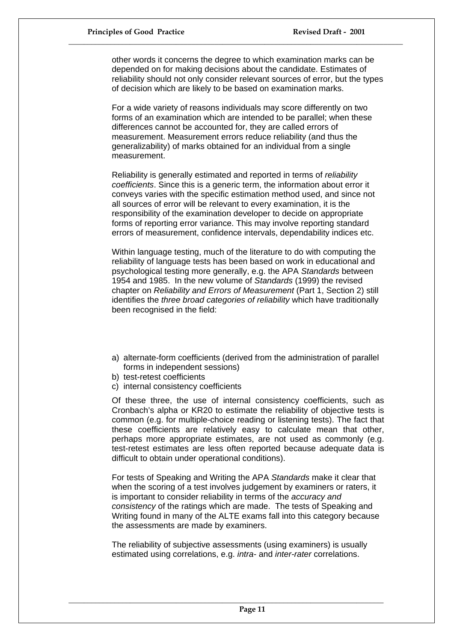other words it concerns the degree to which examination marks can be depended on for making decisions about the candidate. Estimates of reliability should not only consider relevant sources of error, but the types of decision which are likely to be based on examination marks.

**\_\_\_\_\_\_\_\_\_\_\_\_\_\_\_\_\_\_\_\_\_\_\_\_\_\_\_\_\_\_\_\_\_\_\_\_\_\_\_\_\_\_\_\_\_\_\_\_\_\_\_\_\_\_\_\_\_\_\_\_\_\_\_\_\_\_\_\_\_\_\_\_\_\_\_\_\_\_\_\_\_\_\_\_\_\_\_** 

For a wide variety of reasons individuals may score differently on two forms of an examination which are intended to be parallel; when these differences cannot be accounted for, they are called errors of measurement. Measurement errors reduce reliability (and thus the generalizability) of marks obtained for an individual from a single measurement.

Reliability is generally estimated and reported in terms of *reliability coefficients*. Since this is a generic term, the information about error it conveys varies with the specific estimation method used, and since not all sources of error will be relevant to every examination, it is the responsibility of the examination developer to decide on appropriate forms of reporting error variance. This may involve reporting standard errors of measurement, confidence intervals, dependability indices etc.

Within language testing, much of the literature to do with computing the reliability of language tests has been based on work in educational and psychological testing more generally, e.g. the APA *Standards* between 1954 and 1985. In the new volume of *Standards* (1999) the revised chapter on *Reliability and Errors of Measurement* (Part 1, Section 2) still identifies the *three broad categories of reliability* which have traditionally been recognised in the field:

- a) alternate-form coefficients (derived from the administration of parallel forms in independent sessions)
- b) test-retest coefficients
- c) internal consistency coefficients

Of these three, the use of internal consistency coefficients, such as Cronbach's alpha or KR20 to estimate the reliability of objective tests is common (e.g. for multiple-choice reading or listening tests). The fact that these coefficients are relatively easy to calculate mean that other, perhaps more appropriate estimates, are not used as commonly (e.g. test-retest estimates are less often reported because adequate data is difficult to obtain under operational conditions).

For tests of Speaking and Writing the APA *Standards* make it clear that when the scoring of a test involves judgement by examiners or raters, it is important to consider reliability in terms of the *accuracy and consistency* of the ratings which are made. The tests of Speaking and Writing found in many of the ALTE exams fall into this category because the assessments are made by examiners.

The reliability of subjective assessments (using examiners) is usually estimated using correlations, e.g. *intra*- and *inter-rater* correlations.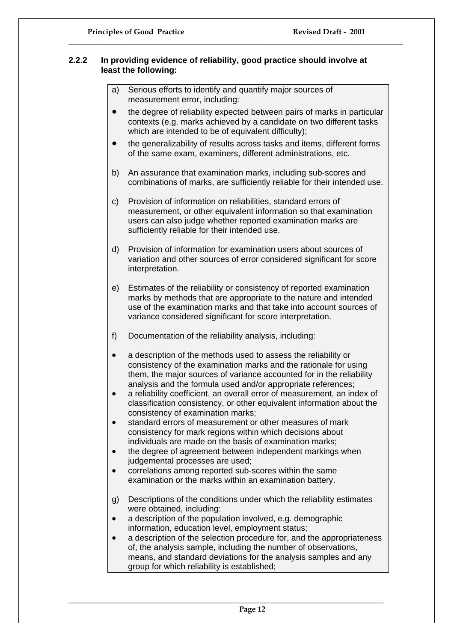#### **2.2.2 In providing evidence of reliability, good practice should involve at least the following:**

**\_\_\_\_\_\_\_\_\_\_\_\_\_\_\_\_\_\_\_\_\_\_\_\_\_\_\_\_\_\_\_\_\_\_\_\_\_\_\_\_\_\_\_\_\_\_\_\_\_\_\_\_\_\_\_\_\_\_\_\_\_\_\_\_\_\_\_\_\_\_\_\_\_\_\_\_\_\_\_\_\_\_\_\_\_\_\_** 

- a) Serious efforts to identify and quantify major sources of measurement error, including:
- the degree of reliability expected between pairs of marks in particular contexts (e.g. marks achieved by a candidate on two different tasks which are intended to be of equivalent difficulty);
- the generalizability of results across tasks and items, different forms of the same exam, examiners, different administrations, etc.
- b) An assurance that examination marks, including sub-scores and combinations of marks, are sufficiently reliable for their intended use.
- c) Provision of information on reliabilities, standard errors of measurement, or other equivalent information so that examination users can also judge whether reported examination marks are sufficiently reliable for their intended use.
- d) Provision of information for examination users about sources of variation and other sources of error considered significant for score interpretation.
- e) Estimates of the reliability or consistency of reported examination marks by methods that are appropriate to the nature and intended use of the examination marks and that take into account sources of variance considered significant for score interpretation.
- f) Documentation of the reliability analysis, including:
- a description of the methods used to assess the reliability or consistency of the examination marks and the rationale for using them, the major sources of variance accounted for in the reliability analysis and the formula used and/or appropriate references;
- a reliability coefficient, an overall error of measurement, an index of classification consistency, or other equivalent information about the consistency of examination marks;
- standard errors of measurement or other measures of mark consistency for mark regions within which decisions about individuals are made on the basis of examination marks;
- the degree of agreement between independent markings when judgemental processes are used;
- correlations among reported sub-scores within the same examination or the marks within an examination battery.
- g) Descriptions of the conditions under which the reliability estimates were obtained, including:
- a description of the population involved, e.g. demographic information, education level, employment status;

**\_\_\_\_\_\_\_\_\_\_\_\_\_\_\_\_\_\_\_\_\_\_\_\_\_\_\_\_\_\_\_\_\_\_\_\_\_\_\_\_\_\_\_\_\_\_\_\_\_\_\_\_\_\_\_\_\_\_\_\_\_\_\_\_\_\_\_\_\_\_\_\_\_\_\_\_\_\_\_\_\_\_** 

a description of the selection procedure for, and the appropriateness of, the analysis sample, including the number of observations, means, and standard deviations for the analysis samples and any group for which reliability is established;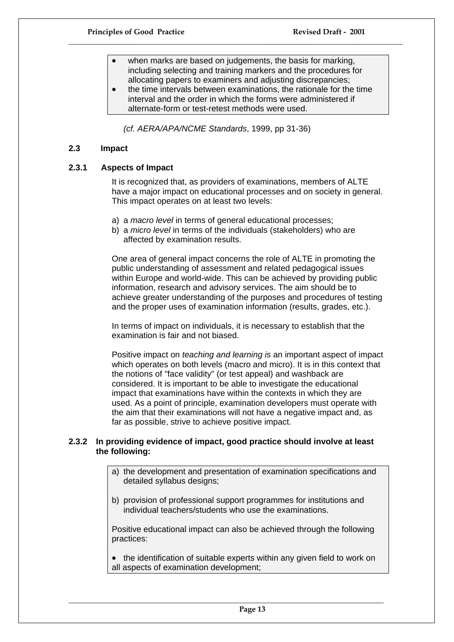when marks are based on judgements, the basis for marking, including selecting and training markers and the procedures for allocating papers to examiners and adjusting discrepancies;

**\_\_\_\_\_\_\_\_\_\_\_\_\_\_\_\_\_\_\_\_\_\_\_\_\_\_\_\_\_\_\_\_\_\_\_\_\_\_\_\_\_\_\_\_\_\_\_\_\_\_\_\_\_\_\_\_\_\_\_\_\_\_\_\_\_\_\_\_\_\_\_\_\_\_\_\_\_\_\_\_\_\_\_\_\_\_\_** 

• the time intervals between examinations, the rationale for the time interval and the order in which the forms were administered if alternate-form or test-retest methods were used.

*(cf. AERA/APA/NCME Standards*, 1999, pp 31-36)

#### **2.3 Impact**

#### **2.3.1 Aspects of Impact**

It is recognized that, as providers of examinations, members of ALTE have a major impact on educational processes and on society in general. This impact operates on at least two levels:

- a) a *macro level* in terms of general educational processes;
- b) a *micro level* in terms of the individuals (stakeholders) who are affected by examination results.

One area of general impact concerns the role of ALTE in promoting the public understanding of assessment and related pedagogical issues within Europe and world-wide. This can be achieved by providing public information, research and advisory services. The aim should be to achieve greater understanding of the purposes and procedures of testing and the proper uses of examination information (results, grades, etc.).

In terms of impact on individuals, it is necessary to establish that the examination is fair and not biased.

Positive impact on *teaching and learning is* an important aspect of impact which operates on both levels (macro and micro). It is in this context that the notions of "face validity" (or test appeal) and washback are considered. It is important to be able to investigate the educational impact that examinations have within the contexts in which they are used. As a point of principle, examination developers must operate with the aim that their examinations will not have a negative impact and, as far as possible, strive to achieve positive impact.

#### **2.3.2 In providing evidence of impact, good practice should involve at least the following:**

- a) the development and presentation of examination specifications and detailed syllabus designs;
- b) provision of professional support programmes for institutions and individual teachers/students who use the examinations.

Positive educational impact can also be achieved through the following practices:

• the identification of suitable experts within any given field to work on all aspects of examination development;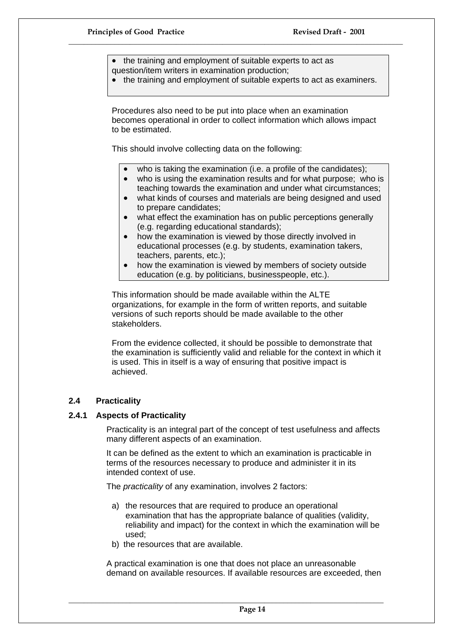• the training and employment of suitable experts to act as question/item writers in examination production;

• the training and employment of suitable experts to act as examiners.

**\_\_\_\_\_\_\_\_\_\_\_\_\_\_\_\_\_\_\_\_\_\_\_\_\_\_\_\_\_\_\_\_\_\_\_\_\_\_\_\_\_\_\_\_\_\_\_\_\_\_\_\_\_\_\_\_\_\_\_\_\_\_\_\_\_\_\_\_\_\_\_\_\_\_\_\_\_\_\_\_\_\_\_\_\_\_\_** 

Procedures also need to be put into place when an examination becomes operational in order to collect information which allows impact to be estimated.

This should involve collecting data on the following:

- who is taking the examination (i.e. a profile of the candidates);
- who is using the examination results and for what purpose; who is teaching towards the examination and under what circumstances;
- what kinds of courses and materials are being designed and used to prepare candidates;
- what effect the examination has on public perceptions generally (e.g. regarding educational standards);
- how the examination is viewed by those directly involved in educational processes (e.g. by students, examination takers, teachers, parents, etc.);
- how the examination is viewed by members of society outside education (e.g. by politicians, businesspeople, etc.).

This information should be made available within the ALTE organizations, for example in the form of written reports, and suitable versions of such reports should be made available to the other stakeholders.

From the evidence collected, it should be possible to demonstrate that the examination is sufficiently valid and reliable for the context in which it is used. This in itself is a way of ensuring that positive impact is achieved.

#### **2.4 Practicality**

#### **2.4.1 Aspects of Practicality**

Practicality is an integral part of the concept of test usefulness and affects many different aspects of an examination.

 It can be defined as the extent to which an examination is practicable in terms of the resources necessary to produce and administer it in its intended context of use.

The *practicality* of any examination, involves 2 factors:

- a) the resources that are required to produce an operational examination that has the appropriate balance of qualities (validity, reliability and impact) for the context in which the examination will be used;
- b) the resources that are available.

A practical examination is one that does not place an unreasonable demand on available resources. If available resources are exceeded, then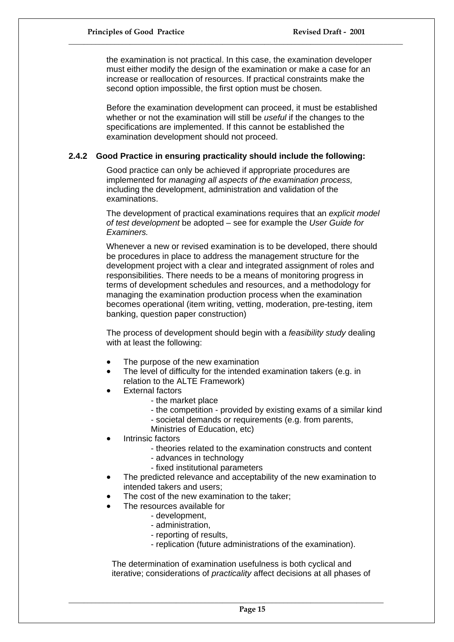the examination is not practical. In this case, the examination developer must either modify the design of the examination or make a case for an increase or reallocation of resources. If practical constraints make the second option impossible, the first option must be chosen.

**\_\_\_\_\_\_\_\_\_\_\_\_\_\_\_\_\_\_\_\_\_\_\_\_\_\_\_\_\_\_\_\_\_\_\_\_\_\_\_\_\_\_\_\_\_\_\_\_\_\_\_\_\_\_\_\_\_\_\_\_\_\_\_\_\_\_\_\_\_\_\_\_\_\_\_\_\_\_\_\_\_\_\_\_\_\_\_** 

Before the examination development can proceed, it must be established whether or not the examination will still be *useful* if the changes to the specifications are implemented. If this cannot be established the examination development should not proceed.

#### **2.4.2 Good Practice in ensuring practicality should include the following:**

 Good practice can only be achieved if appropriate procedures are implemented for *managing all aspects of the examination process,*  including the development, administration and validation of the examinations.

The development of practical examinations requires that an *explicit model of test development* be adopted – see for example the *User Guide for Examiners.* 

Whenever a new or revised examination is to be developed, there should be procedures in place to address the management structure for the development project with a clear and integrated assignment of roles and responsibilities. There needs to be a means of monitoring progress in terms of development schedules and resources, and a methodology for managing the examination production process when the examination becomes operational (item writing, vetting, moderation, pre-testing, item banking, question paper construction)

The process of development should begin with a *feasibility study* dealing with at least the following:

- The purpose of the new examination
- The level of difficulty for the intended examination takers (e.g. in relation to the ALTE Framework)
- **External factors** 
	- the market place
	- the competition provided by existing exams of a similar kind
	- societal demands or requirements (e.g. from parents,
	- Ministries of Education, etc)
- Intrinsic factors
	- theories related to the examination constructs and content
	- advances in technology
	- fixed institutional parameters
- The predicted relevance and acceptability of the new examination to intended takers and users;
- The cost of the new examination to the taker:
	- The resources available for
		- development,
		- administration,
		- reporting of results,
		- replication (future administrations of the examination).

 The determination of examination usefulness is both cyclical and iterative; considerations of *practicality* affect decisions at all phases of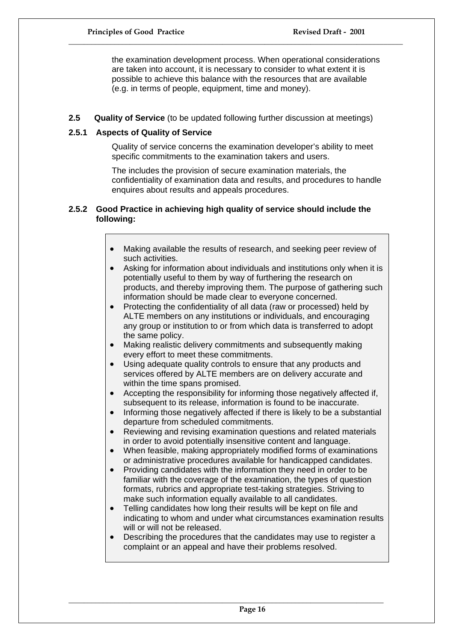the examination development process. When operational considerations are taken into account, it is necessary to consider to what extent it is possible to achieve this balance with the resources that are available (e.g. in terms of people, equipment, time and money).

**\_\_\_\_\_\_\_\_\_\_\_\_\_\_\_\_\_\_\_\_\_\_\_\_\_\_\_\_\_\_\_\_\_\_\_\_\_\_\_\_\_\_\_\_\_\_\_\_\_\_\_\_\_\_\_\_\_\_\_\_\_\_\_\_\_\_\_\_\_\_\_\_\_\_\_\_\_\_\_\_\_\_\_\_\_\_\_** 

**2.5 Quality of Service** (to be updated following further discussion at meetings)

#### **2.5.1 Aspects of Quality of Service**

Quality of service concerns the examination developer's ability to meet specific commitments to the examination takers and users.

The includes the provision of secure examination materials, the confidentiality of examination data and results, and procedures to handle enquires about results and appeals procedures.

#### **2.5.2 Good Practice in achieving high quality of service should include the following:**

- Making available the results of research, and seeking peer review of such activities.
- Asking for information about individuals and institutions only when it is potentially useful to them by way of furthering the research on products, and thereby improving them. The purpose of gathering such information should be made clear to everyone concerned.
- Protecting the confidentiality of all data (raw or processed) held by ALTE members on any institutions or individuals, and encouraging any group or institution to or from which data is transferred to adopt the same policy.
- Making realistic delivery commitments and subsequently making every effort to meet these commitments.
- Using adequate quality controls to ensure that any products and services offered by ALTE members are on delivery accurate and within the time spans promised.
- Accepting the responsibility for informing those negatively affected if, subsequent to its release, information is found to be inaccurate.
- Informing those negatively affected if there is likely to be a substantial departure from scheduled commitments.
- Reviewing and revising examination questions and related materials in order to avoid potentially insensitive content and language.
- When feasible, making appropriately modified forms of examinations or administrative procedures available for handicapped candidates.
- Providing candidates with the information they need in order to be familiar with the coverage of the examination, the types of question formats, rubrics and appropriate test-taking strategies. Striving to make such information equally available to all candidates.
- Telling candidates how long their results will be kept on file and indicating to whom and under what circumstances examination results will or will not be released.
- Describing the procedures that the candidates may use to register a complaint or an appeal and have their problems resolved.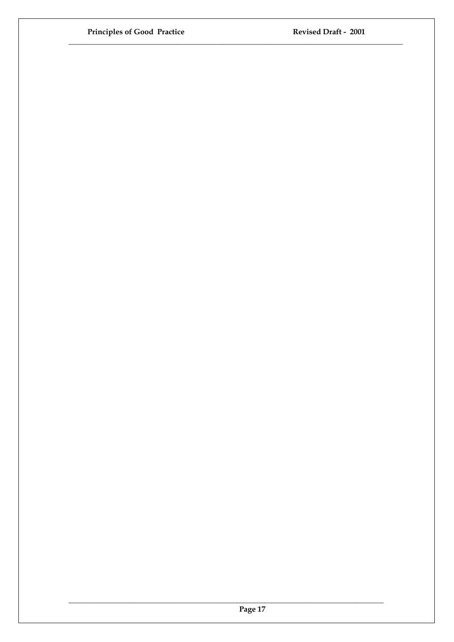Page 17